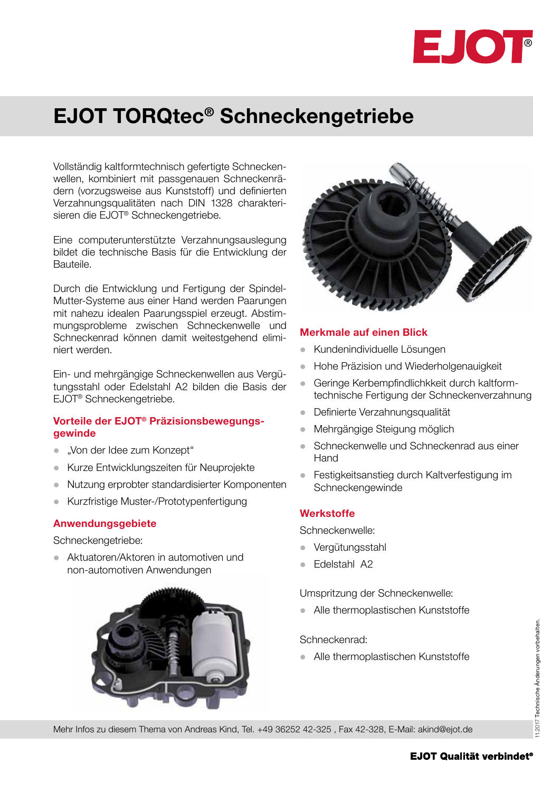

## EJOT TORQtec® Schneckengetriebe

Vollständig kaltformtechnisch gefertigte Schneckenwellen, kombiniert mit passgenauen Schneckenrädern (vorzugsweise aus Kunststoff) und definierten Verzahnungsqualitäten nach DIN 1328 charakterisieren die EJOT® Schneckengetriebe.

Eine computerunterstützte Verzahnungsauslegung bildet die technische Basis für die Entwicklung der Bauteile.

Durch die Entwicklung und Fertigung der Spindel-Mutter-Systeme aus einer Hand werden Paarungen mit nahezu idealen Paarungsspiel erzeugt. Abstimmungsprobleme zwischen Schneckenwelle und Schneckenrad können damit weitestgehend eliminiert werden.

Ein- und mehrgängige Schneckenwellen aus Vergütungsstahl oder Edelstahl A2 bilden die Basis der EJOT® Schneckengetriebe.

## Vorteile der EJOT® Präzisionsbewegungsgewinde

- "Von der Idee zum Konzept"
- **Kurze Entwicklungszeiten für Neuprojekte**
- **Nutzung erprobter standardisierter Komponenten**
- Kurzfristige Muster-/Prototypenfertigung

## Anwendungsgebiete

Schneckengetriebe:

**Aktuatoren/Aktoren in automotiven und** non-automotiven Anwendungen





#### Merkmale auf einen Blick

- **Kundenindividuelle Lösungen**
- **Hohe Präzision und Wiederholgenauigkeit**
- **Geringe Kerbempfindlichkkeit durch kaltform**technische Fertigung der Schneckenverzahnung
- **•** Definierte Verzahnungsqualität
- l Mehrgängige Steigung möglich
- l Schneckenwelle und Schneckenrad aus einer Hand
- Festigkeitsanstieg durch Kaltverfestigung im Schneckengewinde

## **Werkstoffe**

Schneckenwelle:

- **Vergütungsstahl**
- **•** Edelstahl A2

Umspritzung der Schneckenwelle:

• Alle thermoplastischen Kunststoffe

Schneckenrad:

• Alle thermoplastischen Kunststoffe

Mehr Infos zu diesem Thema von Andreas Kind, Tel. +49 36252 42-325 , Fax 42-328, E-Mail: akind@ejot.de